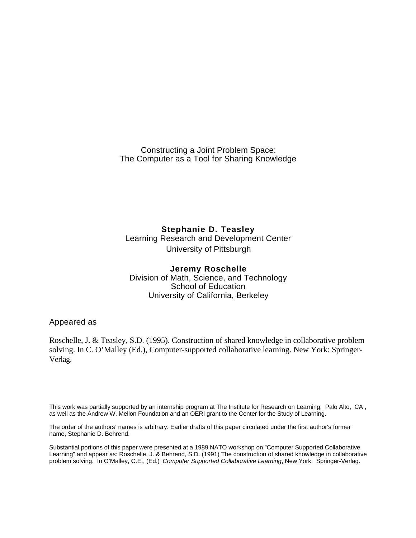Constructing a Joint Problem Space: The Computer as a Tool for Sharing Knowledge

# **Stephanie D. Teasley** Learning Research and Development Center University of Pittsburgh

## **Jeremy Roschelle** Division of Math, Science, and Technology School of Education University of California, Berkeley

## Appeared as

Roschelle, J. & Teasley, S.D. (1995). Construction of shared knowledge in collaborative problem solving. In C. O'Malley (Ed.), Computer-supported collaborative learning. New York: Springer-Verlag.

This work was partially supported by an internship program at The Institute for Research on Learning, Palo Alto, CA , as well as the Andrew W. Mellon Foundation and an OERI grant to the Center for the Study of Learning.

The order of the authors' names is arbitrary. Earlier drafts of this paper circulated under the first author's former name, Stephanie D. Behrend.

Substantial portions of this paper were presented at a 1989 NATO workshop on "Computer Supported Collaborative Learning" and appear as: Roschelle, J. & Behrend, S.D. (1991) The construction of shared knowledge in collaborative problem solving. In O'Malley, C.E., (Ed.) *Computer Supported Collaborative Learning*, New York: Springer-Verlag.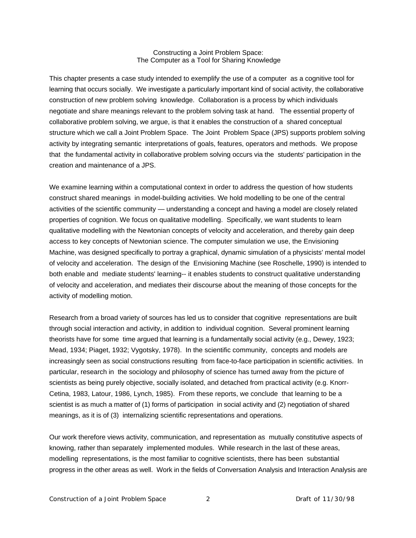#### Constructing a Joint Problem Space: The Computer as a Tool for Sharing Knowledge

This chapter presents a case study intended to exemplify the use of a computer as a cognitive tool for learning that occurs socially. We investigate a particularly important kind of social activity, the collaborative construction of new problem solving knowledge. Collaboration is a process by which individuals negotiate and share meanings relevant to the problem solving task at hand. The essential property of collaborative problem solving, we argue, is that it enables the construction of a shared conceptual structure which we call a Joint Problem Space. The Joint Problem Space (JPS) supports problem solving activity by integrating semantic interpretations of goals, features, operators and methods. We propose that the fundamental activity in collaborative problem solving occurs via the students' participation in the creation and maintenance of a JPS.

We examine learning within a computational context in order to address the question of how students construct shared meanings in model-building activities. We hold modelling to be one of the central activities of the scientific community — understanding a concept and having a model are closely related properties of cognition. We focus on qualitative modelling. Specifically, we want students to learn qualitative modelling with the Newtonian concepts of velocity and acceleration, and thereby gain deep access to key concepts of Newtonian science. The computer simulation we use, the Envisioning Machine, was designed specifically to portray a graphical, dynamic simulation of a physicists' mental model of velocity and acceleration. The design of the Envisioning Machine (see Roschelle, 1990) is intended to both enable and mediate students' learning-- it enables students to construct qualitative understanding of velocity and acceleration, and mediates their discourse about the meaning of those concepts for the activity of modelling motion.

Research from a broad variety of sources has led us to consider that cognitive representations are built through social interaction and activity, in addition to individual cognition. Several prominent learning theorists have for some time argued that learning is a fundamentally social activity (e.g., Dewey, 1923; Mead, 1934; Piaget, 1932; Vygotsky, 1978). In the scientific community, concepts and models are increasingly seen as social constructions resulting from face-to-face participation in scientific activities. In particular, research in the sociology and philosophy of science has turned away from the picture of scientists as being purely objective, socially isolated, and detached from practical activity (e.g. Knorr-Cetina, 1983, Latour, 1986, Lynch, 1985). From these reports, we conclude that learning to be a scientist is as much a matter of (1) forms of participation in social activity and (2) negotiation of shared meanings, as it is of (3) internalizing scientific representations and operations.

Our work therefore views activity, communication, and representation as mutually constitutive aspects of knowing, rather than separately implemented modules. While research in the last of these areas, modelling representations, is the most familiar to cognitive scientists, there has been substantial progress in the other areas as well. Work in the fields of Conversation Analysis and Interaction Analysis are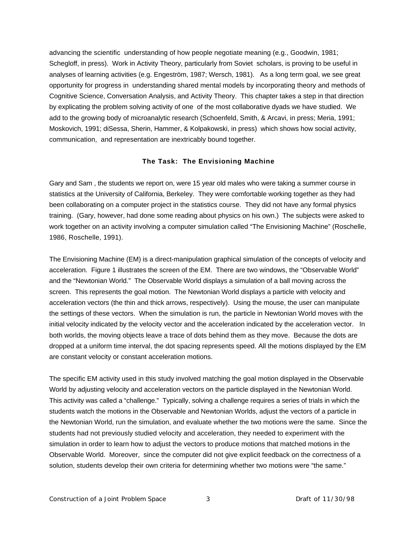advancing the scientific understanding of how people negotiate meaning (e.g., Goodwin, 1981; Schegloff, in press). Work in Activity Theory, particularly from Soviet scholars, is proving to be useful in analyses of learning activities (e.g. Engeström, 1987; Wersch, 1981). As a long term goal, we see great opportunity for progress in understanding shared mental models by incorporating theory and methods of Cognitive Science, Conversation Analysis, and Activity Theory. This chapter takes a step in that direction by explicating the problem solving activity of one of the most collaborative dyads we have studied. We add to the growing body of microanalytic research (Schoenfeld, Smith, & Arcavi, in press; Meria, 1991; Moskovich, 1991; diSessa, Sherin, Hammer, & Kolpakowski, in press) which shows how social activity, communication, and representation are inextricably bound together.

#### **The Task: The Envisioning Machine**

Gary and Sam , the students we report on, were 15 year old males who were taking a summer course in statistics at the University of California, Berkeley. They were comfortable working together as they had been collaborating on a computer project in the statistics course. They did not have any formal physics training. (Gary, however, had done some reading about physics on his own.) The subjects were asked to work together on an activity involving a computer simulation called "The Envisioning Machine" (Roschelle, 1986, Roschelle, 1991).

The Envisioning Machine (EM) is a direct-manipulation graphical simulation of the concepts of velocity and acceleration. Figure 1 illustrates the screen of the EM. There are two windows, the "Observable World" and the "Newtonian World." The Observable World displays a simulation of a ball moving across the screen. This represents the goal motion. The Newtonian World displays a particle with velocity and acceleration vectors (the thin and thick arrows, respectively). Using the mouse, the user can manipulate the settings of these vectors. When the simulation is run, the particle in Newtonian World moves with the initial velocity indicated by the velocity vector and the acceleration indicated by the acceleration vector. In both worlds, the moving objects leave a trace of dots behind them as they move. Because the dots are dropped at a uniform time interval, the dot spacing represents speed. All the motions displayed by the EM are constant velocity or constant acceleration motions.

The specific EM activity used in this study involved matching the goal motion displayed in the Observable World by adjusting velocity and acceleration vectors on the particle displayed in the Newtonian World. This activity was called a "challenge." Typically, solving a challenge requires a series of trials in which the students watch the motions in the Observable and Newtonian Worlds, adjust the vectors of a particle in the Newtonian World, run the simulation, and evaluate whether the two motions were the same. Since the students had not previously studied velocity and acceleration, they needed to experiment with the simulation in order to learn how to adjust the vectors to produce motions that matched motions in the Observable World. Moreover, since the computer did not give explicit feedback on the correctness of a solution, students develop their own criteria for determining whether two motions were "the same."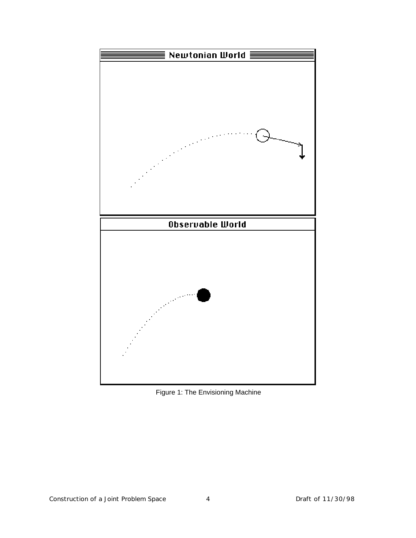

Figure 1: The Envisioning Machine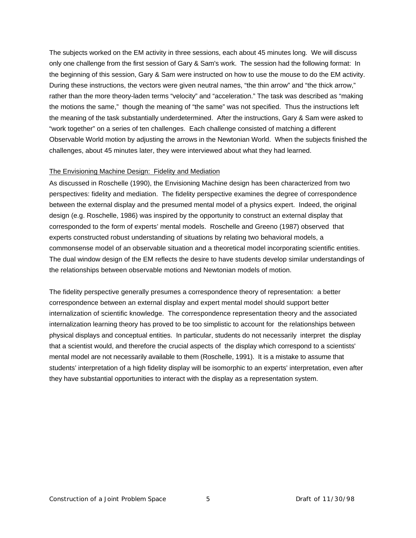The subjects worked on the EM activity in three sessions, each about 45 minutes long. We will discuss only one challenge from the first session of Gary & Sam's work. The session had the following format: In the beginning of this session, Gary & Sam were instructed on how to use the mouse to do the EM activity. During these instructions, the vectors were given neutral names, "the thin arrow" and "the thick arrow," rather than the more theory-laden terms "velocity" and "acceleration." The task was described as "making the motions the same," though the meaning of "the same" was not specified. Thus the instructions left the meaning of the task substantially underdetermined. After the instructions, Gary & Sam were asked to "work together" on a series of ten challenges. Each challenge consisted of matching a different Observable World motion by adjusting the arrows in the Newtonian World. When the subjects finished the challenges, about 45 minutes later, they were interviewed about what they had learned.

### The Envisioning Machine Design: Fidelity and Mediation

As discussed in Roschelle (1990), the Envisioning Machine design has been characterized from two perspectives: fidelity and mediation. The fidelity perspective examines the degree of correspondence between the external display and the presumed mental model of a physics expert. Indeed, the original design (e.g. Roschelle, 1986) was inspired by the opportunity to construct an external display that corresponded to the form of experts' mental models. Roschelle and Greeno (1987) observed that experts constructed robust understanding of situations by relating two behavioral models, a commonsense model of an observable situation and a theoretical model incorporating scientific entities. The dual window design of the EM reflects the desire to have students develop similar understandings of the relationships between observable motions and Newtonian models of motion.

The fidelity perspective generally presumes a correspondence theory of representation: a better correspondence between an external display and expert mental model should support better internalization of scientific knowledge. The correspondence representation theory and the associated internalization learning theory has proved to be too simplistic to account for the relationships between physical displays and conceptual entities. In particular, students do not necessarily interpret the display that a scientist would, and therefore the crucial aspects of the display which correspond to a scientists' mental model are not necessarily available to them (Roschelle, 1991). It is a mistake to assume that students' interpretation of a high fidelity display will be isomorphic to an experts' interpretation, even after they have substantial opportunities to interact with the display as a representation system.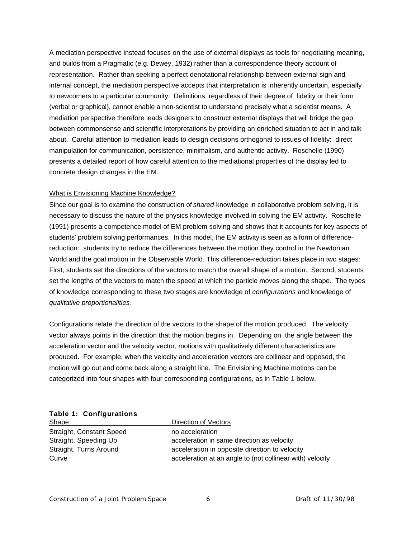A mediation perspective instead focuses on the use of external displays as tools for negotiating meaning, and builds from a Pragmatic (e.g. Dewey, 1932) rather than a correspondence theory account of representation. Rather than seeking a perfect denotational relationship between external sign and internal concept, the mediation perspective accepts that interpretation is inherently uncertain, especially to newcomers to a particular community. Definitions, regardless of their degree of fidelity or their form (verbal or graphical), cannot enable a non-scientist to understand precisely what a scientist means. A mediation perspective therefore leads designers to construct external displays that will bridge the gap between commonsense and scientific interpretations by providing an enriched situation to act in and talk about. Careful attention to mediation leads to design decisions orthogonal to issues of fidelity: direct manipulation for communication, persistence, minimalism, and authentic activity. Roschelle (1990) presents a detailed report of how careful attention to the mediational properties of the display led to concrete design changes in the EM.

### What is Envisioning Machine Knowledge?

Since our goal is to examine the construction of *shared* knowledge in collaborative problem solving, it is necessary to discuss the nature of the physics knowledge involved in solving the EM activity. Roschelle (1991) presents a competence model of EM problem solving and shows that it accounts for key aspects of students' problem solving performances. In this model, the EM activity is seen as a form of differencereduction: students try to reduce the differences between the motion they control in the Newtonian World and the goal motion in the Observable World. This difference-reduction takes place in two stages: First, students set the directions of the vectors to match the overall shape of a motion. Second, students set the lengths of the vectors to match the speed at which the particle moves along the shape. The types of knowledge corresponding to these two stages are knowledge of *configurations* and knowledge of *qualitative proportionalities*.

Configurations relate the direction of the vectors to the shape of the motion produced. The velocity vector always points in the direction that the motion begins in. Depending on the angle between the acceleration vector and the velocity vector, motions with qualitatively different characteristics are produced. For example, when the velocity and acceleration vectors are collinear and opposed, the motion will go out and come back along a straight line. The Envisioning Machine motions can be categorized into four shapes with four corresponding configurations, as in Table 1 below.

| Shape                    | Direction of Vectors                                      |
|--------------------------|-----------------------------------------------------------|
| Straight, Constant Speed | no acceleration                                           |
| Straight, Speeding Up    | acceleration in same direction as velocity                |
| Straight, Turns Around   | acceleration in opposite direction to velocity            |
| Curve                    | acceleration at an angle to (not collinear with) velocity |

#### **Table 1: Configurations**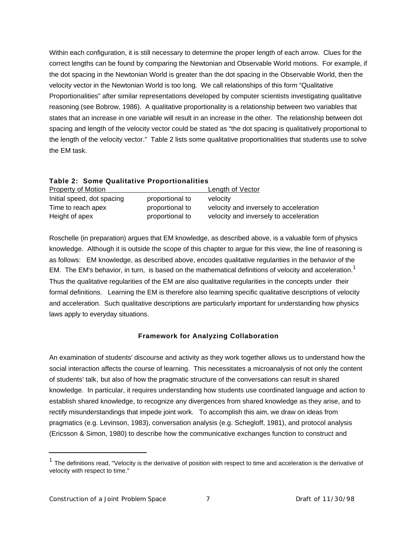Within each configuration, it is still necessary to determine the proper length of each arrow. Clues for the correct lengths can be found by comparing the Newtonian and Observable World motions. For example, if the dot spacing in the Newtonian World is greater than the dot spacing in the Observable World, then the velocity vector in the Newtonian World is too long. We call relationships of this form "Qualitative Proportionalities" after similar representations developed by computer scientists investigating qualitative reasoning (see Bobrow, 1986). A qualitative proportionality is a relationship between two variables that states that an increase in one variable will result in an increase in the other. The relationship between dot spacing and length of the velocity vector could be stated as "the dot spacing is qualitatively proportional to the length of the velocity vector." Table 2 lists some qualitative proportionalities that students use to solve the EM task.

| <b>Table 2: Some Qualitative Proportionalities</b> |                 |                                        |  |  |
|----------------------------------------------------|-----------------|----------------------------------------|--|--|
| Property of Motion                                 |                 | Length of Vector                       |  |  |
| Initial speed, dot spacing                         | proportional to | velocity                               |  |  |
| Time to reach apex                                 | proportional to | velocity and inversely to acceleration |  |  |
| Height of apex                                     | proportional to | velocity and inversely to acceleration |  |  |

Roschelle (in preparation) argues that EM knowledge, as described above, is a valuable form of physics knowledge. Although it is outside the scope of this chapter to argue for this view, the line of reasoning is as follows: EM knowledge, as described above, encodes qualitative regularities in the behavior of the EM. The EM's behavior, in turn, is based on the mathematical definitions of velocity and acceleration.<sup>1</sup> Thus the qualitative regularities of the EM are also qualitative regularities in the concepts under their formal definitions. Learning the EM is therefore also learning specific qualitative descriptions of velocity and acceleration. Such qualitative descriptions are particularly important for understanding how physics laws apply to everyday situations.

### **Framework for Analyzing Collaboration**

An examination of students' discourse and activity as they work together allows us to understand how the social interaction affects the course of learning. This necessitates a microanalysis of not only the content of students' talk*,* but also of how the pragmatic structure of the conversations can result in shared knowledge. In particular, it requires understanding how students use coordinated language and action to establish shared knowledge, to recognize any divergences from shared knowledge as they arise, and to rectify misunderstandings that impede joint work. To accomplish this aim, we draw on ideas from pragmatics (e.g. Levinson, 1983), conversation analysis (e.g. Schegloff, 1981), and protocol analysis (Ericsson & Simon, 1980) to describe how the communicative exchanges function to construct and

-

 $<sup>1</sup>$  The definitions read, "Velocity is the derivative of position with respect to time and acceleration is the derivative of</sup> velocity with respect to time."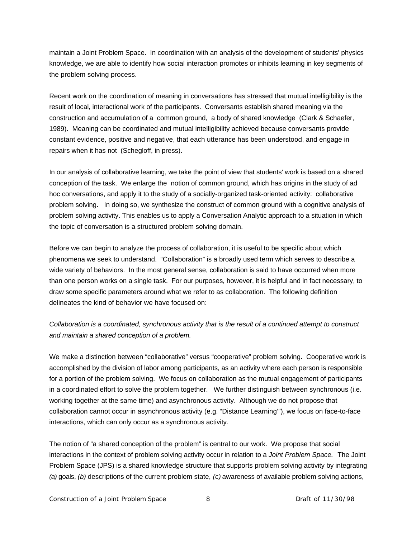maintain a Joint Problem Space. In coordination with an analysis of the development of students' physics knowledge, we are able to identify how social interaction promotes or inhibits learning in key segments of the problem solving process.

Recent work on the coordination of meaning in conversations has stressed that mutual intelligibility is the result of local, interactional work of the participants. Conversants establish shared meaning via the construction and accumulation of a common ground, a body of shared knowledge (Clark & Schaefer, 1989). Meaning can be coordinated and mutual intelligibility achieved because conversants provide constant evidence, positive and negative, that each utterance has been understood, and engage in repairs when it has not (Schegloff, in press).

In our analysis of collaborative learning, we take the point of view that students' work is based on a shared conception of the task. We enlarge the notion of common ground, which has origins in the study of ad hoc conversations, and apply it to the study of a socially-organized task-oriented activity: collaborative problem solving. In doing so, we synthesize the construct of common ground with a cognitive analysis of problem solving activity. This enables us to apply a Conversation Analytic approach to a situation in which the topic of conversation is a structured problem solving domain.

Before we can begin to analyze the process of collaboration, it is useful to be specific about which phenomena we seek to understand. "Collaboration" is a broadly used term which serves to describe a wide variety of behaviors. In the most general sense, collaboration is said to have occurred when more than one person works on a single task. For our purposes, however, it is helpful and in fact necessary, to draw some specific parameters around what we refer to as collaboration. The following definition delineates the kind of behavior we have focused on:

## *Collaboration is a coordinated, synchronous activity that is the result of a continued attempt to construct and maintain a shared conception of a problem.*

We make a distinction between "collaborative" versus "cooperative" problem solving. Cooperative work is accomplished by the division of labor among participants, as an activity where each person is responsible for a portion of the problem solving. We focus on collaboration as the mutual engagement of participants in a coordinated effort to solve the problem together. We further distinguish between synchronous (i.e. working together at the same time) and asynchronous activity. Although we do not propose that collaboration cannot occur in asynchronous activity (e.g. "Distance Learning'"), we focus on face-to-face interactions, which can only occur as a synchronous activity.

The notion of "a shared conception of the problem" is central to our work. We propose that social interactions in the context of problem solving activity occur in relation to a *Joint Problem Space.* The Joint Problem Space (JPS) is a shared knowledge structure that supports problem solving activity by integrating *(a)* goals, *(b)* descriptions of the current problem state, *(c)* awareness of available problem solving actions,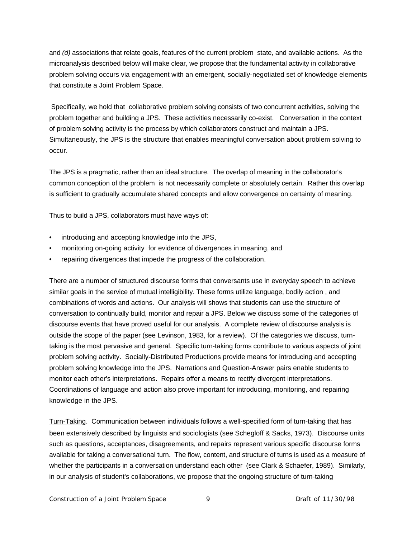and *(d)* associations that relate goals, features of the current problem state, and available actions. As the microanalysis described below will make clear, we propose that the fundamental activity in collaborative problem solving occurs via engagement with an emergent, socially-negotiated set of knowledge elements that constitute a Joint Problem Space.

 Specifically, we hold that collaborative problem solving consists of two concurrent activities, solving the problem together and building a JPS. These activities necessarily co-exist. Conversation in the context of problem solving activity is the process by which collaborators construct and maintain a JPS. Simultaneously, the JPS is the structure that enables meaningful conversation about problem solving to occur.

The JPS is a pragmatic, rather than an ideal structure. The overlap of meaning in the collaborator's common conception of the problem is not necessarily complete or absolutely certain. Rather this overlap is sufficient to gradually accumulate shared concepts and allow convergence on certainty of meaning.

Thus to build a JPS, collaborators must have ways of:

- introducing and accepting knowledge into the JPS,
- monitoring on-going activity for evidence of divergences in meaning, and
- repairing divergences that impede the progress of the collaboration.

There are a number of structured discourse forms that conversants use in everyday speech to achieve similar goals in the service of mutual intelligibility. These forms utilize language, bodily action , and combinations of words and actions. Our analysis will shows that students can use the structure of conversation to continually build, monitor and repair a JPS. Below we discuss some of the categories of discourse events that have proved useful for our analysis. A complete review of discourse analysis is outside the scope of the paper (see Levinson, 1983, for a review). Of the categories we discuss, turntaking is the most pervasive and general. Specific turn-taking forms contribute to various aspects of joint problem solving activity. Socially-Distributed Productions provide means for introducing and accepting problem solving knowledge into the JPS. Narrations and Question-Answer pairs enable students to monitor each other's interpretations. Repairs offer a means to rectify divergent interpretations. Coordinations of language and action also prove important for introducing, monitoring, and repairing knowledge in the JPS.

Turn-Taking . Communication between individuals follows a well-specified form of turn-taking that has been extensively described by linguists and sociologists (see Schegloff & Sacks, 1973). Discourse units such as questions, acceptances, disagreements, and repairs represent various specific discourse forms available for taking a conversational turn. The flow, content, and structure of turns is used as a measure of whether the participants in a conversation understand each other (see Clark & Schaefer, 1989). Similarly, in our analysis of student's collaborations, we propose that the ongoing structure of turn-taking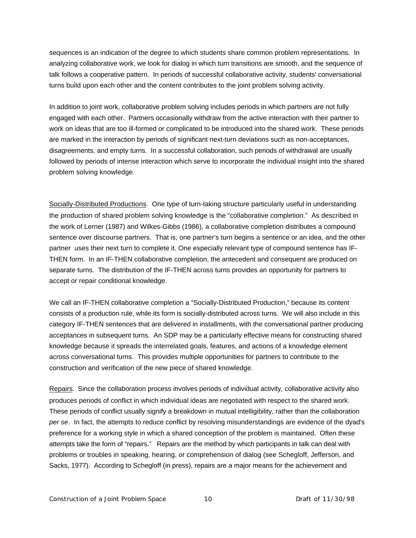sequences is an indication of the degree to which students share common problem representations. In analyzing collaborative work, we look for dialog in which turn transitions are smooth, and the sequence of talk follows a cooperative pattern. In periods of successful collaborative activity, students' conversational turns build upon each other and the content contributes to the joint problem solving activity.

In addition to joint work, collaborative problem solving includes periods in which partners are not fully engaged with each other. Partners occasionally withdraw from the active interaction with their partner to work on ideas that are too ill-formed or complicated to be introduced into the shared work. These periods are marked in the interaction by periods of significant next-turn deviations such as non-acceptances, disagreements, and empty turns. In a successful collaboration, such periods of withdrawal are usually followed by periods of intense interaction which serve to incorporate the individual insight into the shared problem solving knowledge.

Socially-Distributed Productions. One type of turn-taking structure particularly useful in understanding the production of shared problem solving knowledge is the "collaborative completion." As described in the work of Lerner (1987) and Wilkes-Gibbs (1986), a collaborative completion distributes a compound sentence over discourse partners. That is, one partner's turn begins a sentence or an idea, and the other partner uses their next turn to complete it. One especially relevant type of compound sentence has IF-THEN form. In an IF-THEN collaborative completion, the antecedent and consequent are produced on separate turns. The distribution of the IF-THEN across turns provides an opportunity for partners to accept or repair conditional knowledge.

We call an IF-THEN collaborative completion a "Socially-Distributed Production," because its content consists of a production rule, while its form is socially-distributed across turns. We will also include in this category IF-THEN sentences that are delivered in installments, with the conversational partner producing acceptances in subsequent turns. An SDP may be a particularly effective means for constructing shared knowledge because it spreads the interrelated goals, features, and actions of a knowledge element across conversational turns. This provides multiple opportunities for partners to contribute to the construction and verification of the new piece of shared knowledge.

Repairs. Since the collaboration process involves periods of individual activity, collaborative activity also produces periods of conflict in which individual ideas are negotiated with respect to the shared work. These periods of conflict usually signify a breakdown in mutual intelligibility, rather than the collaboration *per se*. In fact, the attempts to reduce conflict by resolving misunderstandings are evidence of the dyad's preference for a working style in which a shared conception of the problem is maintained. Often these attempts take the form of "repairs." Repairs are the method by which participants in talk can deal with problems or troubles in speaking, hearing, or comprehension of dialog (see Schegloff, Jefferson, and Sacks, 1977). According to Schegloff (in press), repairs are a major means for the achievement and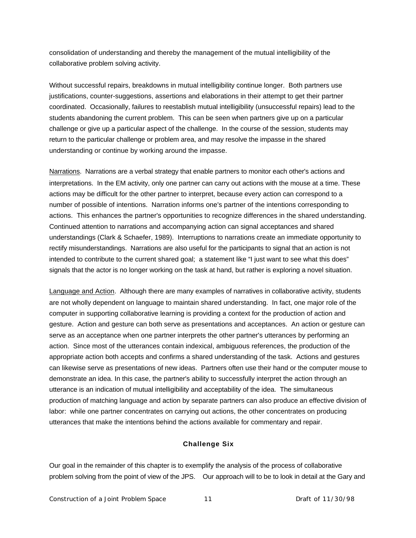consolidation of understanding and thereby the management of the mutual intelligibility of the collaborative problem solving activity.

Without successful repairs, breakdowns in mutual intelligibility continue longer. Both partners use justifications, counter-suggestions, assertions and elaborations in their attempt to get their partner coordinated. Occasionally, failures to reestablish mutual intelligibility (unsuccessful repairs) lead to the students abandoning the current problem. This can be seen when partners give up on a particular challenge or give up a particular aspect of the challenge. In the course of the session, students may return to the particular challenge or problem area, and may resolve the impasse in the shared understanding or continue by working around the impasse.

Narrations . Narrations are a verbal strategy that enable partners to monitor each other's actions and interpretations. In the EM activity, only one partner can carry out actions with the mouse at a time. These actions may be difficult for the other partner to interpret, because every action can correspond to a number of possible of intentions. Narration informs one's partner of the intentions corresponding to actions. This enhances the partner's opportunities to recognize differences in the shared understanding. Continued attention to narrations and accompanying action can signal acceptances and shared understandings (Clark & Schaefer, 1989). Interruptions to narrations create an immediate opportunity to rectify misunderstandings. Narrations are also useful for the participants to signal that an action is not intended to contribute to the current shared goal; a statement like "I just want to see what this does" signals that the actor is no longer working on the task at hand, but rather is exploring a novel situation.

Language and Action. Although there are many examples of narratives in collaborative activity, students are not wholly dependent on language to maintain shared understanding. In fact, one major role of the computer in supporting collaborative learning is providing a context for the production of action and gesture. Action and gesture can both serve as presentations and acceptances. An action or gesture can serve as an acceptance when one partner interprets the other partner's utterances by performing an action. Since most of the utterances contain indexical, ambiguous references, the production of the appropriate action both accepts and confirms a shared understanding of the task. Actions and gestures can likewise serve as presentations of new ideas. Partners often use their hand or the computer mouse to demonstrate an idea. In this case, the partner's ability to successfully interpret the action through an utterance is an indication of mutual intelligibility and acceptability of the idea. The simultaneous production of matching language and action by separate partners can also produce an effective division of labor: while one partner concentrates on carrying out actions, the other concentrates on producing utterances that make the intentions behind the actions available for commentary and repair.

### **Challenge Six**

Our goal in the remainder of this chapter is to exemplify the analysis of the process of collaborative problem solving from the point of view of the JPS. Our approach will to be to look in detail at the Gary and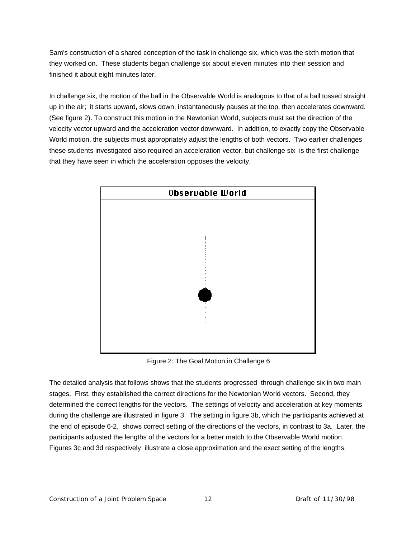Sam's construction of a shared conception of the task in challenge six, which was the sixth motion that they worked on. These students began challenge six about eleven minutes into their session and finished it about eight minutes later.

In challenge six, the motion of the ball in the Observable World is analogous to that of a ball tossed straight up in the air; it starts upward, slows down, instantaneously pauses at the top, then accelerates downward. (See figure 2). To construct this motion in the Newtonian World, subjects must set the direction of the velocity vector upward and the acceleration vector downward. In addition, to exactly copy the Observable World motion, the subjects must appropriately adjust the lengths of both vectors. Two earlier challenges these students investigated also required an acceleration vector, but challenge six is the first challenge that they have seen in which the acceleration opposes the velocity.



Figure 2: The Goal Motion in Challenge 6

The detailed analysis that follows shows that the students progressed through challenge six in two main stages. First, they established the correct directions for the Newtonian World vectors. Second, they determined the correct lengths for the vectors. The settings of velocity and acceleration at key moments during the challenge are illustrated in figure 3. The setting in figure 3b, which the participants achieved at the end of episode 6-2, shows correct setting of the directions of the vectors, in contrast to 3a. Later, the participants adjusted the lengths of the vectors for a better match to the Observable World motion. Figures 3c and 3d respectively illustrate a close approximation and the exact setting of the lengths.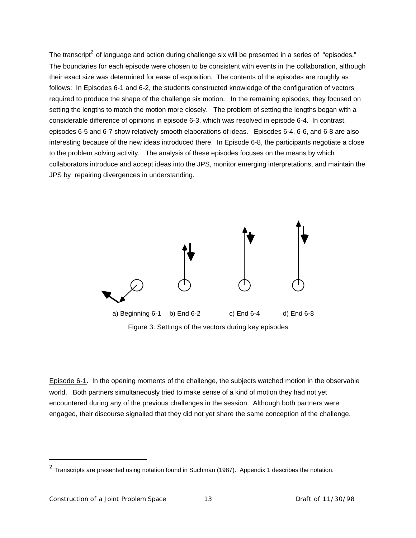The transcript<sup>2</sup> of language and action during challenge six will be presented in a series of "episodes." The boundaries for each episode were chosen to be consistent with events in the collaboration, although their exact size was determined for ease of exposition. The contents of the episodes are roughly as follows: In Episodes 6-1 and 6-2, the students constructed knowledge of the configuration of vectors required to produce the shape of the challenge six motion. In the remaining episodes, they focused on setting the lengths to match the motion more closely. The problem of setting the lengths began with a considerable difference of opinions in episode 6-3, which was resolved in episode 6-4. In contrast, episodes 6-5 and 6-7 show relatively smooth elaborations of ideas. Episodes 6-4, 6-6, and 6-8 are also interesting because of the new ideas introduced there. In Episode 6-8, the participants negotiate a close to the problem solving activity. The analysis of these episodes focuses on the means by which collaborators introduce and accept ideas into the JPS, monitor emerging interpretations, and maintain the JPS by repairing divergences in understanding.



Episode 6-1 . In the opening moments of the challenge, the subjects watched motion in the observable world. Both partners simultaneously tried to make sense of a kind of motion they had not yet encountered during any of the previous challenges in the session. Although both partners were engaged, their discourse signalled that they did not yet share the same conception of the challenge.

ł

 $^2$  Transcripts are presented using notation found in Suchman (1987). Appendix 1 describes the notation.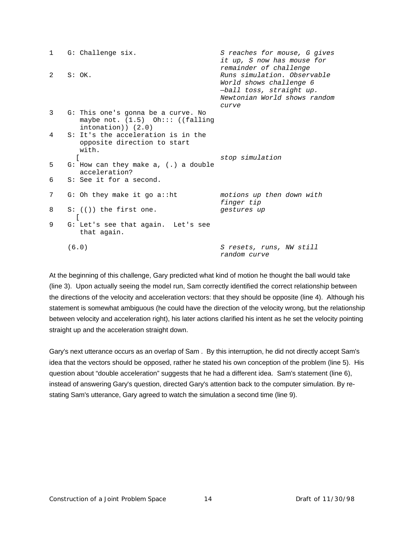| 1              | G: Challenge six.                                                                                 | S reaches for mouse, G gives<br>it up, S now has mouse for<br>remainder of challenge                                        |
|----------------|---------------------------------------------------------------------------------------------------|-----------------------------------------------------------------------------------------------------------------------------|
| 2              | S: OK.                                                                                            | Runs simulation. Observable<br>World shows challenge 6<br>-ball toss, straight up.<br>Newtonian World shows random<br>curve |
| 3              | G: This one's gonna be a curve. No<br>maybe not. $(1.5)$ Oh::: ((falling<br>$intonation)$ $(2.0)$ |                                                                                                                             |
| $\overline{4}$ | S: It's the acceleration is in the<br>opposite direction to start<br>with.                        |                                                                                                                             |
|                |                                                                                                   | stop simulation                                                                                                             |
| 5              | G: How can they make a, (.) a double<br>acceleration?                                             |                                                                                                                             |
| 6              | S: See it for a second.                                                                           |                                                                                                                             |
| 7              | $G:$ Oh they make it go a::ht                                                                     | motions up then down with<br>finger tip                                                                                     |
| 8              | $S: (())$ the first one.                                                                          | gestures up                                                                                                                 |
| 9              | G: Let's see that again. Let's see<br>that again.                                                 |                                                                                                                             |
|                | (6.0)                                                                                             | S resets, runs, NW still<br>random curve                                                                                    |

At the beginning of this challenge, Gary predicted what kind of motion he thought the ball would take (line 3). Upon actually seeing the model run, Sam correctly identified the correct relationship between the directions of the velocity and acceleration vectors: that they should be opposite (line 4). Although his statement is somewhat ambiguous (he could have the direction of the velocity wrong, but the relationship between velocity and acceleration right), his later actions clarified his intent as he set the velocity pointing straight up and the acceleration straight down.

Gary's next utterance occurs as an overlap of Sam . By this interruption, he did not directly accept Sam's idea that the vectors should be opposed, rather he stated his own conception of the problem (line 5). His question about "double acceleration" suggests that he had a different idea. Sam's statement (line 6), instead of answering Gary's question, directed Gary's attention back to the computer simulation. By restating Sam's utterance, Gary agreed to watch the simulation a second time (line 9).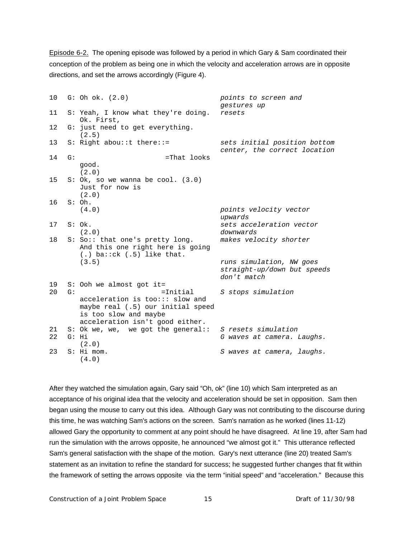Episode 6-2. The opening episode was followed by a period in which Gary & Sam coordinated their conception of the problem as being one in which the velocity and acceleration arrows are in opposite directions, and set the arrows accordingly (Figure 4).

| 10 |    | G: Oh ok. (2.0)                                                                                                                                 | points to screen and<br>gestures up                                    |
|----|----|-------------------------------------------------------------------------------------------------------------------------------------------------|------------------------------------------------------------------------|
| 11 |    | S: Yeah, I know what they're doing.<br>Ok. First,                                                                                               | resets                                                                 |
| 12 |    | G: just need to get everything.<br>(2.5)                                                                                                        |                                                                        |
| 13 |    | $S: Right about:the$ there::=                                                                                                                   | sets initial position bottom<br>center, the correct location           |
| 14 | G: | =That looks<br>qood.<br>(2.0)                                                                                                                   |                                                                        |
| 15 |    | S: Ok, so we wanna be $cool. (3.0)$<br>Just for now is<br>(2.0)                                                                                 |                                                                        |
| 16 |    | S: Oh.<br>(4.0)                                                                                                                                 | points velocity vector<br>upwards                                      |
| 17 |    | $S:$ Ok.<br>(2.0)                                                                                                                               | sets acceleration vector<br>downwards                                  |
| 18 |    | S: So:: that one's pretty long.<br>And this one right here is going<br>$(.)$ ba::ck $(.5)$ like that.                                           | makes velocity shorter                                                 |
|    |    | (3.5)                                                                                                                                           | runs simulation, NW goes<br>straight-up/down but speeds<br>don't match |
| 19 |    | S: Ooh we almost got it=                                                                                                                        |                                                                        |
| 20 | G: | $=$ Initial<br>acceleration is too::: slow and<br>maybe real (.5) our initial speed<br>is too slow and maybe<br>acceleration isn't good either. | S stops simulation                                                     |
| 21 |    | S: Ok we, we, we got the general::                                                                                                              | <i>S resets simulation</i>                                             |
| 22 |    | G: Hi<br>(2.0)                                                                                                                                  | G waves at camera. Laughs.                                             |
| 23 |    | $S: H1 \text{ mom.}$<br>(4.0)                                                                                                                   | S waves at camera, laughs.                                             |

After they watched the simulation again, Gary said "Oh, ok" (line 10) which Sam interpreted as an acceptance of his original idea that the velocity and acceleration should be set in opposition. Sam then began using the mouse to carry out this idea. Although Gary was not contributing to the discourse during this time, he was watching Sam's actions on the screen. Sam's narration as he worked (lines 11-12) allowed Gary the opportunity to comment at any point should he have disagreed. At line 19, after Sam had run the simulation with the arrows opposite, he announced "we almost got it." This utterance reflected Sam's general satisfaction with the shape of the motion. Gary's next utterance (line 20) treated Sam's statement as an invitation to refine the standard for success; he suggested further changes that fit within the framework of setting the arrows opposite via the term "initial speed" and "acceleration." Because this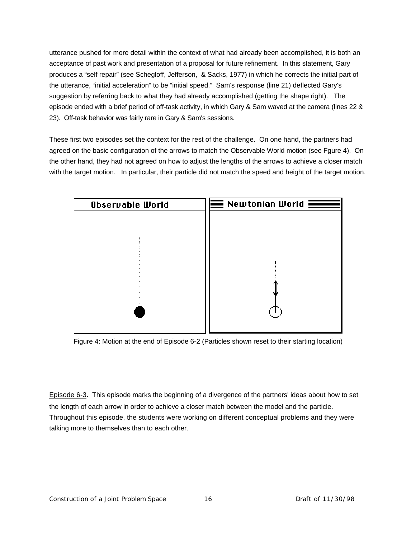utterance pushed for more detail within the context of what had already been accomplished, it is both an acceptance of past work and presentation of a proposal for future refinement. In this statement, Gary produces a "self repair" (see Schegloff, Jefferson, & Sacks, 1977) in which he corrects the initial part of the utterance, "initial acceleration" to be "initial speed." Sam's response (line 21) deflected Gary's suggestion by referring back to what they had already accomplished (getting the shape right). The episode ended with a brief period of off-task activity, in which Gary & Sam waved at the camera (lines 22 & 23). Off-task behavior was fairly rare in Gary & Sam's sessions.

These first two episodes set the context for the rest of the challenge. On one hand, the partners had agreed on the basic configuration of the arrows to match the Observable World motion (see Fgure 4). On the other hand, they had not agreed on how to adjust the lengths of the arrows to achieve a closer match with the target motion. In particular, their particle did not match the speed and height of the target motion.



Figure 4: Motion at the end of Episode 6-2 (Particles shown reset to their starting location)

Episode 6-3 . This episode marks the beginning of a divergence of the partners' ideas about how to set the length of each arrow in order to achieve a closer match between the model and the particle. Throughout this episode, the students were working on different conceptual problems and they were talking more to themselves than to each other.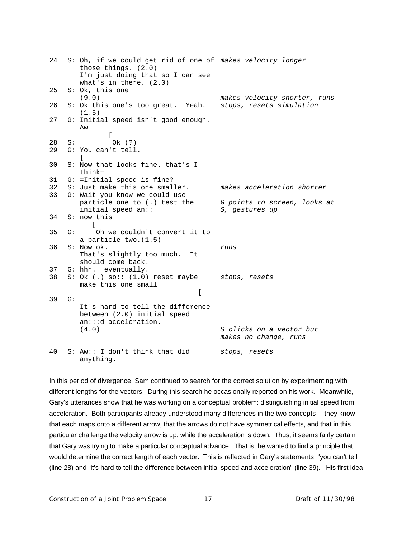24 S: Oh, if we could get rid of one of *makes velocity longer* those things. (2.0) I'm just doing that so I can see what's in there. (2.0) 25 S: Ok, this one (9.0) *makes velocity shorter, runs* 26 S: Ok this one's too great. Yeah. *stops, resets simulation* (1.5) 27 G: Initial speed isn't good enough. Aw  $\Gamma$ 28 S: Ok (?) 29 G: You can't tell.  $\lbrack$ 30 S: Now that looks fine. that's I think= 31 G: =Initial speed is fine? 32 S: Just make this one smaller. *makes acceleration shorter* 33 G: Wait you know we could use particle one to (.) test the initial speed an:: *G points to screen, looks at S, gestures up* 34 S: now this  $\Gamma$ 35 G: Oh we couldn't convert it to a particle two.(1.5) 36 S: Now ok. That's slightly too much. It should come back. *runs* 37 G: hhh. eventually. 38 S: Ok (.) so:: (1.0) reset maybe *stops, resets* make this one small experimental products and the second control of the second control of the second control of the second control of the second control of the second control of the second control of the second control of the second control o 39 G: It's hard to tell the difference between (2.0) initial speed an:::d acceleration. (4.0) 40 S: Aw:: I don't think that did anything. *S clicks on a vector but makes no change, runs stops, resets*

In this period of divergence, Sam continued to search for the correct solution by experimenting with different lengths for the vectors. During this search he occasionally reported on his work. Meanwhile, Gary's utterances show that he was working on a conceptual problem: distinguishing initial speed from acceleration. Both participants already understood many differences in the two concepts— they know that each maps onto a different arrow, that the arrows do not have symmetrical effects, and that in this particular challenge the velocity arrow is up, while the acceleration is down. Thus, it seems fairly certain that Gary was trying to make a particular conceptual advance. That is, he wanted to find a principle that would determine the correct length of each vector. This is reflected in Gary's statements, "you can't tell" (line 28) and "it's hard to tell the difference between initial speed and acceleration" (line 39). His first idea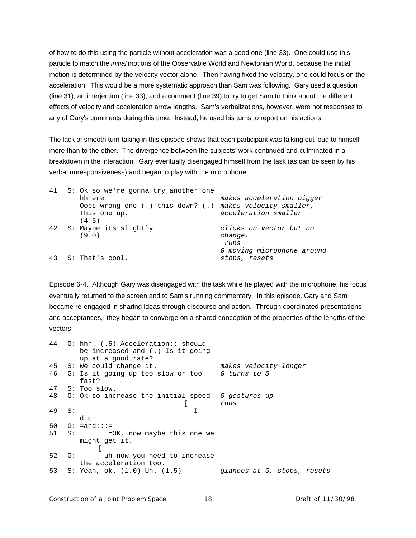of how to do this using the particle without acceleration was a good one (line 33). One could use this particle to match the *initial* motions of the Observable World and Newtonian World, because the initial motion is determined by the velocity vector alone. Then having fixed the velocity, one could focus on the acceleration. This would be a more systematic approach than Sam was following. Gary used a question (line 31), an interjection (line 33), and a comment (line 39) to try to get Sam to think about the different effects of velocity and acceleration arrow lengths. Sam's verbalizations, however, were not responses to any of Gary's comments during this time. Instead, he used his turns to report on his actions.

The lack of smooth turn-taking in this episode shows that each participant was talking out loud to himself more than to the other. The divergence between the subjects' work continued and culminated in a breakdown in the interaction. Gary eventually disengaged himself from the task (as can be seen by his verbal unresponsiveness) and began to play with the microphone:

| 41 | S: Ok so we're gonna try another one                          |                            |
|----|---------------------------------------------------------------|----------------------------|
|    | hhhere                                                        | makes acceleration bigger  |
|    | Oops wrong one $(.)$ this down? $(.)$ makes velocity smaller, |                            |
|    | This one up.                                                  | acceleration smaller       |
|    | (4.5)                                                         |                            |
| 42 | S: Maybe its slightly                                         | clicks on vector but no    |
|    | (9.0)                                                         | change.                    |
|    |                                                               | runs                       |
|    |                                                               | G moving microphone around |
|    | 43 S: That's cool.                                            | stops, resets              |
|    |                                                               |                            |

Episode 6-4 . Although Gary was disengaged with the task while he played with the microphone, his focus eventually returned to the screen and to Sam's running commentary. In this episode, Gary and Sam became re-engaged in sharing ideas through discourse and action. Through coordinated presentations and acceptances, they began to converge on a shared conception of the properties of the lengths of the vectors.

```
44 G: hhh. (.5) Acceleration:: should
       be increased and (.) Is it going
       up at a good rate?
45 S: We could change it. makes velocity longer
46 G: Is it going up too slow or too
G turns to S
       fast?
47 S: Too slow.
48 G: Ok so increase the initial speed G gestures up
produced a series of the series of the series of the series of the series of the series of the series of the s
49 S: I
       did=
                                         runs
50 G: =and:::=
51 S: = OK, now maybe this one we
       might get it.
[[]
52 G: uh now you need to increase
       the acceleration too.
53 S: Yeah, ok. (1.0) Uh. (1.5) glances at G, stops, resets
```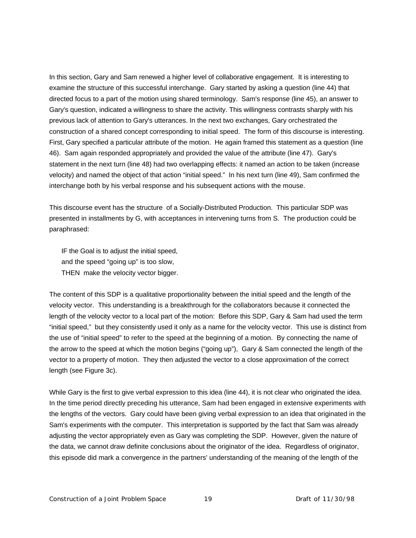In this section, Gary and Sam renewed a higher level of collaborative engagement. It is interesting to examine the structure of this successful interchange. Gary started by asking a question (line 44) that directed focus to a part of the motion using shared terminology. Sam's response (line 45), an answer to Gary's question, indicated a willingness to share the activity. This willingness contrasts sharply with his previous lack of attention to Gary's utterances. In the next two exchanges, Gary orchestrated the construction of a shared concept corresponding to initial speed. The form of this discourse is interesting. First, Gary specified a particular attribute of the motion. He again framed this statement as a question (line 46). Sam again responded appropriately and provided the value of the attribute (line 47). Gary's statement in the next turn (line 48) had two overlapping effects: it named an action to be taken (increase velocity) and named the object of that action "initial speed." In his next turn (line 49), Sam confirmed the interchange both by his verbal response and his subsequent actions with the mouse.

This discourse event has the structure of a Socially-Distributed Production. This particular SDP was presented in installments by G, with acceptances in intervening turns from S. The production could be paraphrased:

IF the Goal is to adjust the initial speed, and the speed "going up" is too slow, THEN make the velocity vector bigger.

The content of this SDP is a qualitative proportionality between the initial speed and the length of the velocity vector. This understanding is a breakthrough for the collaborators because it connected the length of the velocity vector to a local part of the motion: Before this SDP, Gary & Sam had used the term "initial speed," but they consistently used it only as a name for the velocity vector. This use is distinct from the use of "initial speed" to refer to the speed at the beginning of a motion. By connecting the name of the arrow to the speed at which the motion begins ("going up"), Gary & Sam connected the length of the vector to a property of motion. They then adjusted the vector to a close approximation of the correct length (see Figure 3c).

While Gary is the first to give verbal expression to this idea (line 44), it is not clear who originated the idea. In the time period directly preceding his utterance, Sam had been engaged in extensive experiments with the lengths of the vectors. Gary could have been giving verbal expression to an idea that originated in the Sam's experiments with the computer. This interpretation is supported by the fact that Sam was already adjusting the vector appropriately even as Gary was completing the SDP. However, given the nature of the data, we cannot draw definite conclusions about the originator of the idea. Regardless of originator, this episode did mark a convergence in the partners' understanding of the meaning of the length of the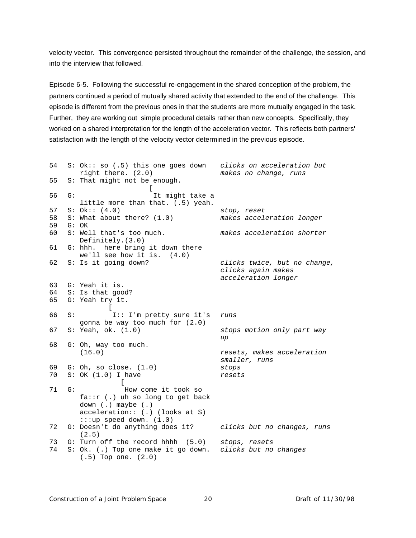velocity vector. This convergence persisted throughout the remainder of the challenge, the session, and into the interview that followed.

Episode 6-5 . Following the successful re-engagement in the shared conception of the problem, the partners continued a period of mutually shared activity that extended to the end of the challenge. This episode is different from the previous ones in that the students are more mutually engaged in the task. Further, they are working out simple procedural details rather than new concepts. Specifically, they worked on a shared interpretation for the length of the acceleration vector. This reflects both partners' satisfaction with the length of the velocity vector determined in the previous episode.

54 S: Ok:: so (.5) this one goes down *clicks on acceleration but* right there. (2.0) *makes no change, runs* 55 S: That might not be enough. **[***[]* [*[* 56 G: It might take a little more than that. (.5) yeah. 57 S: Ok:: (4.0) *stop, reset* 58 S: What about there? (1.0) *makes acceleration longer* 59 G: OK 60 S: Well that's too much. Definitely.(3.0) *makes acceleration shorter* 61 G: hhh. here bring it down there we'll see how it is. (4.0) 62 S: Is it going down? *clicks twice, but no change, clicks again makes acceleration longer* 63 G: Yeah it is. 64 S: Is that good? 65 G: Yeah try it.  $\lceil$ 66 S: I:: I'm pretty sure it's gonna be way too much for (2.0) *runs* 67 S: Yeah, ok. (1.0) *stops motion only part way up* 68 G: Oh, way too much. (16.0) *resets, makes acceleration smaller, runs* 69 G: Oh, so close. (1.0) *stops* 70 S: OK (1.0) I have *resets* [ 71 G: How come it took so  $f_a::r$  (.) uh so long to get back down (.) maybe (.) acceleration:: (.) (looks at S) :::up speed down. (1.0) 72 G: Doesn't do anything does it? *clicks but no changes, runs* (2.5) 73 G: Turn off the record hhhh (5.0) *stops, resets* 74 S: Ok. (.) Top one make it go down. *clicks but no changes*(.5) Top one. (2.0)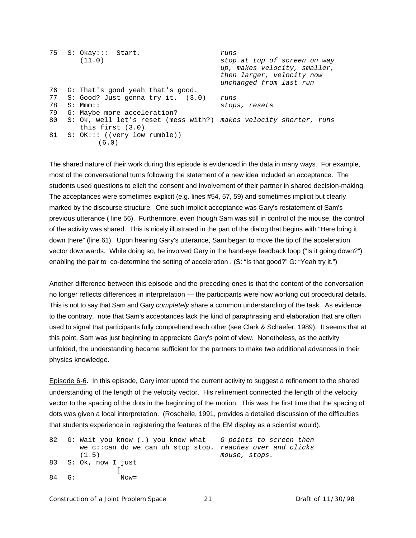|    | 75 S: Okay::: Start.<br>(11.0)                                                          | runs<br>stop at top of screen on way<br>up, makes velocity, smaller,<br>then larger, velocity now<br>unchanged from last run |
|----|-----------------------------------------------------------------------------------------|------------------------------------------------------------------------------------------------------------------------------|
| 76 | G: That's good yeah that's good.                                                        |                                                                                                                              |
| 77 | S: Good? Just gonna try it. (3.0)                                                       | runs                                                                                                                         |
| 78 | S: Mmm:                                                                                 | stops, resets                                                                                                                |
| 79 | G: Maybe more acceleration?                                                             |                                                                                                                              |
| 80 | S: Ok, well let's reset (mess with?) makes velocity shorter, runs<br>this first $(3.0)$ |                                                                                                                              |
|    | 81 S: OK::: ((very low rumble))<br>(6.0)                                                |                                                                                                                              |

The shared nature of their work during this episode is evidenced in the data in many ways. For example, most of the conversational turns following the statement of a new idea included an acceptance. The students used questions to elicit the consent and involvement of their partner in shared decision-making. The acceptances were sometimes explicit (e.g. lines #54, 57, 59) and sometimes implicit but clearly marked by the discourse structure. One such implicit acceptance was Gary's restatement of Sam's previous utterance ( line 56). Furthermore, even though Sam was still in control of the mouse, the control of the activity was shared. This is nicely illustrated in the part of the dialog that begins with "Here bring it down there" (line 61). Upon hearing Gary's utterance, Sam began to move the tip of the acceleration vector downwards. While doing so, he involved Gary in the hand-eye feedback loop ("Is it going down?") enabling the pair to co-determine the setting of acceleration . (S: "Is that good?" G: "Yeah try it.")

Another difference between this episode and the preceding ones is that the content of the conversation no longer reflects differences in interpretation — the participants were now working out procedural details. This is not to say that Sam and Gary *completely* share a common understanding of the task. As evidence to the contrary, note that Sam's acceptances lack the kind of paraphrasing and elaboration that are often used to signal that participants fully comprehend each other (see Clark & Schaefer, 1989). It seems that at this point, Sam was just beginning to appreciate Gary's point of view. Nonetheless, as the activity unfolded, the understanding became sufficient for the partners to make two additional advances in their physics knowledge.

Episode 6-6 . In this episode, Gary interrupted the current activity to suggest a refinement to the shared understanding of the length of the velocity vector. His refinement connected the length of the velocity vector to the spacing of the dots in the beginning of the motion. This was the first time that the spacing of dots was given a local interpretation. (Roschelle, 1991, provides a detailed discussion of the difficulties that students experience in registering the features of the EM display as a scientist would).

```
82 G: Wait you know (.) you know what
G points to screen then
       we c::can do we can uh stop stop.
reaches over and clicks
      (1.5)
                                       mouse, stops.
83 S: Ok, now I just
       \blacksquare84 G: Now=
```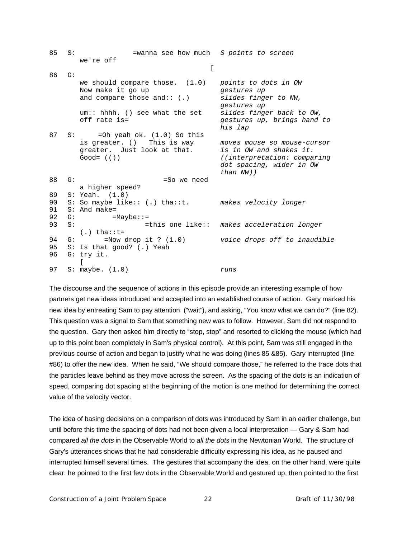85 S: =wanna see how much *S points to screen* we're off [ 86 G: we should compare those. (1.0) *points to dots in OW* Now make it go up and compare those and:: (.) um:: hhhh. () see what the set off rate is= *gestures up slides finger to NW, gestures up slides finger back to OW, gestures up, brings hand to his lap* 87 S: =Oh yeah ok. (1.0) So this is greater. () This is way greater. Just look at that. Good=  $(())$ *moves mouse so mouse-cursor is in OW and shakes it. ((interpretation: comparing dot spacing, wider in OW than NW))* 88 G:  $=$  So we need a higher speed? 89 S: Yeah. (1.0) 90 S: So maybe like:: (.) tha::t. *makes velocity longer* 91 S: And make=  $92 \quad G: = \text{Maybe} ::$ 93 S: =this one like:: *makes acceleration longer*  $(.)$  tha:: $t=$ 94 G: =Now drop it ? (1.0) *voice drops off to inaudible* 95 S: Is that good? (.) Yeah 96 G: try it.  $\Gamma$ 97 S: maybe. (1.0) *runs*

The discourse and the sequence of actions in this episode provide an interesting example of how partners get new ideas introduced and accepted into an established course of action. Gary marked his new idea by entreating Sam to pay attention ("wait"), and asking, "You know what we can do?" (line 82). This question was a signal to Sam that something new was to follow. However, Sam did not respond to the question. Gary then asked him directly to "stop, stop" and resorted to clicking the mouse (which had up to this point been completely in Sam's physical control). At this point, Sam was still engaged in the previous course of action and began to justify what he was doing (lines 85 &85). Gary interrupted (line #86) to offer the new idea. When he said, "We should compare those," he referred to the trace dots that the particles leave behind as they move across the screen. As the spacing of the dots is an indication of speed, comparing dot spacing at the beginning of the motion is one method for determining the correct value of the velocity vector.

The idea of basing decisions on a comparison of dots was introduced by Sam in an earlier challenge, but until before this time the spacing of dots had not been given a local interpretation — Gary & Sam had compared *all the dots* in the Observable World to *all the dots* in the Newtonian World. The structure of Gary's utterances shows that he had considerable difficulty expressing his idea, as he paused and interrupted himself several times. The gestures that accompany the idea, on the other hand, were quite clear: he pointed to the first few dots in the Observable World and gestured up, then pointed to the first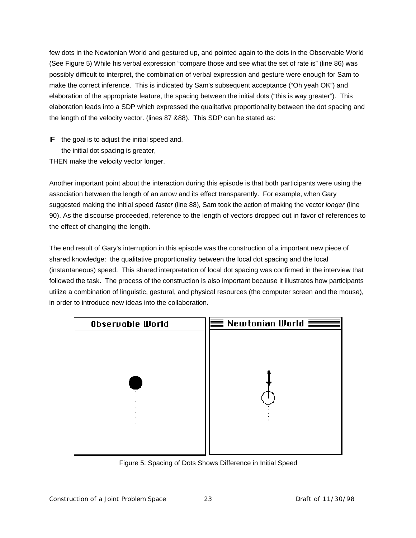few dots in the Newtonian World and gestured up, and pointed again to the dots in the Observable World (See Figure 5) While his verbal expression "compare those and see what the set of rate is" (line 86) was possibly difficult to interpret, the combination of verbal expression and gesture were enough for Sam to make the correct inference. This is indicated by Sam's subsequent acceptance ("Oh yeah OK") and elaboration of the appropriate feature, the spacing between the initial dots ("this is way greater"). This elaboration leads into a SDP which expressed the qualitative proportionality between the dot spacing and the length of the velocity vector. (lines 87 &88). This SDP can be stated as:

IF the goal is to adjust the initial speed and, the initial dot spacing is greater, THEN make the velocity vector longer.

Another important point about the interaction during this episode is that both participants were using the association between the length of an arrow and its effect transparently. For example, when Gary suggested making the initial speed *faster* (line 88), Sam took the action of making the vector *longer* (line 90). As the discourse proceeded, reference to the length of vectors dropped out in favor of references to the effect of changing the length.

The end result of Gary's interruption in this episode was the construction of a important new piece of shared knowledge: the qualitative proportionality between the local dot spacing and the local (instantaneous) speed. This shared interpretation of local dot spacing was confirmed in the interview that followed the task. The process of the construction is also important because it illustrates how participants utilize a combination of linguistic, gestural, and physical resources (the computer screen and the mouse), in order to introduce new ideas into the collaboration.



Figure 5: Spacing of Dots Shows Difference in Initial Speed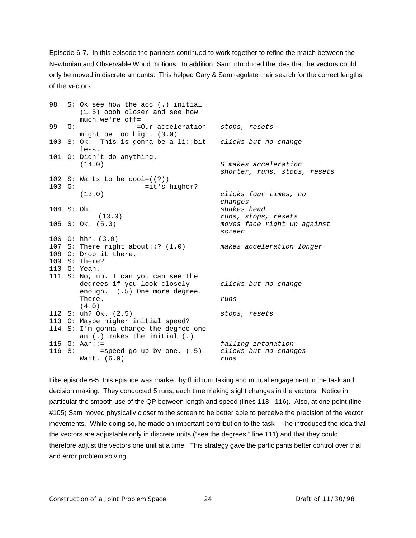Episode 6-7 . In this episode the partners continued to work together to refine the match between the Newtonian and Observable World motions. In addition, Sam introduced the idea that the vectors could only be moved in discrete amounts. This helped Gary & Sam regulate their search for the correct lengths of the vectors.

| 98         |    | S: Ok see how the acc (.) initial<br>$(1.5)$ oooh closer and see how<br>much we're off= |                                       |
|------------|----|-----------------------------------------------------------------------------------------|---------------------------------------|
| 99         | G: | =Our acceleration<br>might be too high. (3.0)                                           | stops, resets                         |
| 100        |    | S: Ok. This is gonna be a li::bit clicks but no change<br>less.                         |                                       |
|            |    | 101 G: Didn't do anything.                                                              |                                       |
|            |    | (14.0)                                                                                  | <i>S</i> makes acceleration           |
|            |    |                                                                                         | shorter, runs, stops, resets          |
|            |    | 102 S: Wants to be $\text{cool}=(?)$                                                    |                                       |
| 103 G:     |    | =it's higher?                                                                           |                                       |
|            |    | (13.0)                                                                                  | clicks four times, no                 |
|            |    |                                                                                         | changes                               |
| 104 S: Oh. |    |                                                                                         | shakes head                           |
|            |    | (13.0)                                                                                  | runs, stops, resets                   |
|            |    | $105$ S: Ok. $(5.0)$                                                                    | moves face right up against<br>screen |
|            |    | 106 G: $hhh. (3.0)$                                                                     |                                       |
|            |    | 107 S: There right about::? $(1.0)$                                                     | makes acceleration longer             |
|            |    | 108 G: Drop it there.                                                                   |                                       |
|            |    | 109 S: There?                                                                           |                                       |
|            |    | 110 G: Yeah.                                                                            |                                       |
|            |    | 111 S: No, up. I can you can see the                                                    |                                       |
|            |    | degrees if you look closely                                                             | clicks but no change                  |
|            |    | enough. (.5) One more degree.<br>There.                                                 |                                       |
|            |    | (4.0)                                                                                   | runs                                  |
|            |    | 112 S: uh? Ok. (2.5)                                                                    | stops, resets                         |
|            |    | 113 G: Maybe higher initial speed?                                                      |                                       |
|            |    | 114 S: I'm gonna change the degree one                                                  |                                       |
|            |    | an $(.)$ makes the initial $(.)$                                                        |                                       |
|            |    | 115 G: Aah: $:=$                                                                        | falling intonation                    |
| 116        | S: | $=$ speed go up by one. $(.5)$                                                          | clicks but no changes                 |
|            |    | Wait. $(6.0)$                                                                           | runs                                  |

Like episode 6-5, this episode was marked by fluid turn taking and mutual engagement in the task and decision making. They conducted 5 runs, each time making slight changes in the vectors. Notice in particular the smooth use of the QP between length and speed (lines 113 - 116). Also, at one point (line #105) Sam moved physically closer to the screen to be better able to perceive the precision of the vector movements. While doing so, he made an important contribution to the task — he introduced the idea that the vectors are adjustable only in discrete units ("see the degrees," line 111) and that they could therefore adjust the vectors one unit at a time. This strategy gave the participants better control over trial and error problem solving.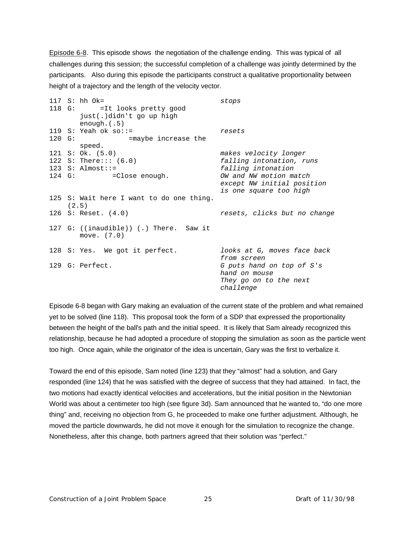Episode 6-8 . This episode shows the negotiation of the challenge ending. This was typical of all challenges during this session; the successful completion of a challenge was jointly determined by the participants. Also during this episode the participants construct a qualitative proportionality between height of a trajectory and the length of the velocity vector.

|                   |       | 117 $S: hh$ Ok=                          | stops                        |
|-------------------|-------|------------------------------------------|------------------------------|
|                   |       | 118 G: = It looks pretty good            |                              |
|                   |       | just(.)didn't go up high                 |                              |
|                   |       | enough. $(.5)$                           |                              |
|                   |       | 119 S: Yeah ok so::=                     | resets                       |
| $120 \text{ } G:$ |       | =maybe increase the                      |                              |
|                   |       | speed.                                   |                              |
|                   |       | 121 S: Ok. $(5.0)$                       | makes velocity longer        |
|                   |       | 122 S: There::: $(6.0)$                  | falling intonation, runs     |
|                   |       | 123 S: Almost::=                         | falling intonation           |
|                   |       | 124 G: = close enough.                   | OW and NW motion match       |
|                   |       |                                          | except NW initial position   |
|                   |       |                                          | is one square too high       |
|                   |       | 125 S: Wait here I want to do one thing. |                              |
|                   | (2.5) |                                          |                              |
|                   |       | 126 S: Reset. (4.0)                      | resets, clicks but no change |
|                   |       |                                          |                              |
|                   |       | 127 G: ((inaudible)) (.) There. Saw it   |                              |
|                   |       | move. $(7.0)$                            |                              |
|                   |       |                                          |                              |
|                   |       | 128 S: Yes. We got it perfect.           | looks at G, moves face back  |
|                   |       |                                          | from screen                  |
|                   |       | 129 G: Perfect.                          | G puts hand on top of S's    |
|                   |       |                                          | hand on mouse                |
|                   |       |                                          | They go on to the next       |
|                   |       |                                          | challenge                    |

Episode 6-8 began with Gary making an evaluation of the current state of the problem and what remained yet to be solved (line 118). This proposal took the form of a SDP that expressed the proportionality between the height of the ball's path and the initial speed. It is likely that Sam already recognized this relationship, because he had adopted a procedure of stopping the simulation as soon as the particle went too high. Once again, while the originator of the idea is uncertain, Gary was the first to verbalize it.

Toward the end of this episode, Sam noted (line 123) that they "almost" had a solution, and Gary responded (line 124) that he was satisfied with the degree of success that they had attained. In fact, the two motions had exactly identical velocities and accelerations, but the initial position in the Newtonian World was about a centimeter too high (see figure 3d). Sam announced that he wanted to, "do one more thing" and, receiving no objection from G, he proceeded to make one further adjustment. Although, he moved the particle downwards, he did not move it enough for the simulation to recognize the change. Nonetheless, after this change, both partners agreed that their solution was "perfect."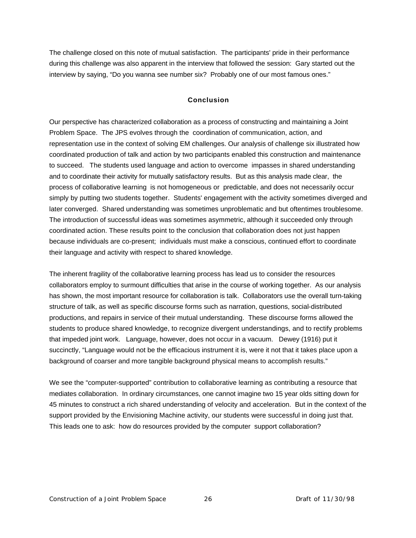The challenge closed on this note of mutual satisfaction. The participants' pride in their performance during this challenge was also apparent in the interview that followed the session: Gary started out the interview by saying, "Do you wanna see number six? Probably one of our most famous ones."

#### **Conclusion**

Our perspective has characterized collaboration as a process of constructing and maintaining a Joint Problem Space. The JPS evolves through the coordination of communication, action, and representation use in the context of solving EM challenges. Our analysis of challenge six illustrated how coordinated production of talk and action by two participants enabled this construction and maintenance to succeed. The students used language and action to overcome impasses in shared understanding and to coordinate their activity for mutually satisfactory results. But as this analysis made clear, the process of collaborative learning is not homogeneous or predictable, and does not necessarily occur simply by putting two students together. Students' engagement with the activity sometimes diverged and later converged. Shared understanding was sometimes unproblematic and but oftentimes troublesome. The introduction of successful ideas was sometimes asymmetric, although it succeeded only through coordinated action. These results point to the conclusion that collaboration does not just happen because individuals are co-present; individuals must make a conscious, continued effort to coordinate their language and activity with respect to shared knowledge.

The inherent fragility of the collaborative learning process has lead us to consider the resources collaborators employ to surmount difficulties that arise in the course of working together. As our analysis has shown, the most important resource for collaboration is talk. Collaborators use the overall turn-taking structure of talk, as well as specific discourse forms such as narration, questions, social-distributed productions, and repairs in service of their mutual understanding. These discourse forms allowed the students to produce shared knowledge, to recognize divergent understandings, and to rectify problems that impeded joint work. Language, however, does not occur in a vacuum. Dewey (1916) put it succinctly, "Language would not be the efficacious instrument it is, were it not that it takes place upon a background of coarser and more tangible background physical means to accomplish results."

We see the "computer-supported" contribution to collaborative learning as contributing a resource that mediates collaboration. In ordinary circumstances, one cannot imagine two 15 year olds sitting down for 45 minutes to construct a rich shared understanding of velocity and acceleration. But in the context of the support provided by the Envisioning Machine activity, our students were successful in doing just that. This leads one to ask: how do resources provided by the computer support collaboration?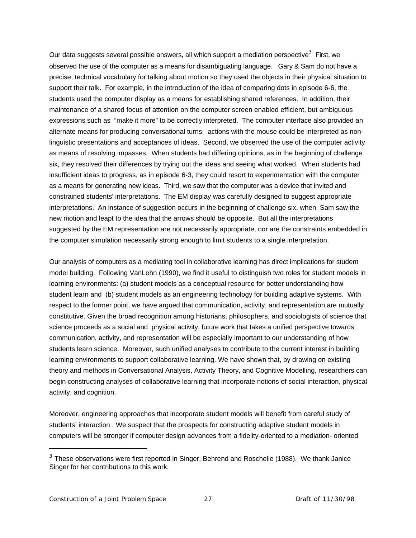Our data suggests several possible answers, all which support a mediation perspective $^3$  First, we observed the use of the computer as a means for disambiguating language. Gary & Sam do not have a precise, technical vocabulary for talking about motion so they used the objects in their physical situation to support their talk. For example, in the introduction of the idea of comparing dots in episode 6-6, the students used the computer display as a means for establishing shared references. In addition, their maintenance of a shared focus of attention on the computer screen enabled efficient, but ambiguous expressions such as "make it more" to be correctly interpreted. The computer interface also provided an alternate means for producing conversational turns: actions with the mouse could be interpreted as nonlinguistic presentations and acceptances of ideas. Second, we observed the use of the computer activity as means of resolving impasses. When students had differing opinions, as in the beginning of challenge six, they resolved their differences by trying out the ideas and seeing what worked. When students had insufficient ideas to progress, as in episode 6-3, they could resort to experimentation with the computer as a means for generating new ideas. Third, we saw that the computer was a device that invited and constrained students' interpretations. The EM display was carefully designed to suggest appropriate interpretations. An instance of suggestion occurs in the beginning of challenge six, when Sam saw the new motion and leapt to the idea that the arrows should be opposite. But all the interpretations suggested by the EM representation are not necessarily appropriate, nor are the constraints embedded in the computer simulation necessarily strong enough to limit students to a single interpretation.

Our analysis of computers as a mediating tool in collaborative learning has direct implications for student model building. Following VanLehn (1990), we find it useful to distinguish two roles for student models in learning environments: (a) student models as a conceptual resource for better understanding how student learn and (b) student models as an engineering technology for building adaptive systems. With respect to the former point, we have argued that communication, activity, and representation are mutually constitutive. Given the broad recognition among historians, philosophers, and sociologists of science that science proceeds as a social and physical activity, future work that takes a unified perspective towards communication, activity, and representation will be especially important to our understanding of how students learn science. Moreover, such unified analyses to contribute to the current interest in building learning environments to support collaborative learning. We have shown that, by drawing on existing theory and methods in Conversational Analysis, Activity Theory, and Cognitive Modelling, researchers can begin constructing analyses of collaborative learning that incorporate notions of social interaction, physical activity, and cognition.

Moreover, engineering approaches that incorporate student models will benefit from careful study of students' interaction . We suspect that the prospects for constructing adaptive student models in computers will be stronger if computer design advances from a fidelity-oriented to a mediation- oriented

-

 $^3$  These observations were first reported in Singer, Behrend and Roschelle (1988). We thank Janice Singer for her contributions to this work.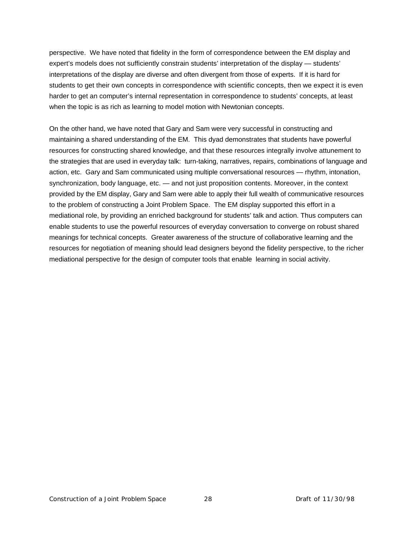perspective. We have noted that fidelity in the form of correspondence between the EM display and expert's models does not sufficiently constrain students' interpretation of the display — students' interpretations of the display are diverse and often divergent from those of experts. If it is hard for students to get their own concepts in correspondence with scientific concepts, then we expect it is even harder to get an computer's internal representation in correspondence to students' concepts, at least when the topic is as rich as learning to model motion with Newtonian concepts.

On the other hand, we have noted that Gary and Sam were very successful in constructing and maintaining a shared understanding of the EM. This dyad demonstrates that students have powerful resources for constructing shared knowledge, and that these resources integrally involve attunement to the strategies that are used in everyday talk: turn-taking, narratives, repairs, combinations of language and action, etc. Gary and Sam communicated using multiple conversational resources — rhythm, intonation, synchronization, body language, etc. — and not just proposition contents. Moreover, in the context provided by the EM display, Gary and Sam were able to apply their full wealth of communicative resources to the problem of constructing a Joint Problem Space. The EM display supported this effort in a mediational role, by providing an enriched background for students' talk and action. Thus computers can enable students to use the powerful resources of everyday conversation to converge on robust shared meanings for technical concepts. Greater awareness of the structure of collaborative learning and the resources for negotiation of meaning should lead designers beyond the fidelity perspective, to the richer mediational perspective for the design of computer tools that enable learning in social activity.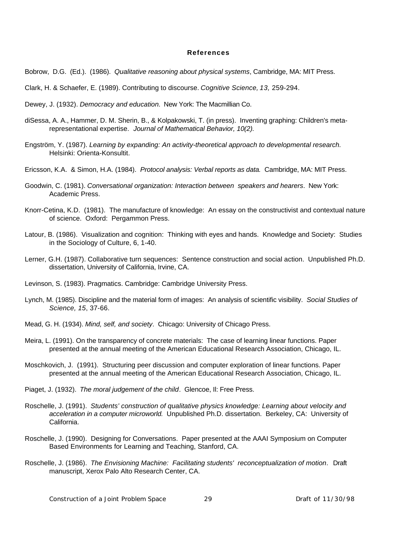#### **References**

- Bobrow, D.G. (Ed.). (1986). *Qualitative reasoning about physical systems*, Cambridge, MA: MIT Press.
- Clark, H. & Schaefer, E. (1989). Contributing to discourse. *Cognitive Science, 13,* 259-294.
- Dewey, J. (1932). *Democracy and education*. New York: The Macmillian Co.
- diSessa, A. A., Hammer, D. M. Sherin, B., & Kolpakowski, T. (in press). Inventing graphing: Children's metarepresentational expertise. *Journal of Mathematical Behavior, 10(2).*
- Engström, Y. (1987). *Learning by expanding: An activity-theoretical approach to developmental research.* Helsinki: Orienta-Konsultit.
- Ericsson, K.A. & Simon, H.A. (1984). *Protocol analysis: Verbal reports as data.* Cambridge, MA: MIT Press.
- Goodwin, C. (1981). *Conversational organization: Interaction between speakers and hearers*. New York: Academic Press.
- Knorr-Cetina, K.D. (1981). The manufacture of knowledge: An essay on the constructivist and contextual nature of science. Oxford: Pergammon Press.
- Latour, B. (1986). Visualization and cognition: Thinking with eyes and hands. Knowledge and Society: Studies in the Sociology of Culture, 6, 1-40.
- Lerner, G.H. (1987). Collaborative turn sequences: Sentence construction and social action. Unpublished Ph.D. dissertation, University of California, Irvine, CA.
- Levinson, S. (1983). Pragmatics. Cambridge: Cambridge University Press.
- Lynch, M. (1985). Discipline and the material form of images: An analysis of scientific visibility. *Social Studies of Science, 15*, 37-66.
- Mead, G. H. (1934). *Mind, self, and society*. Chicago: University of Chicago Press.
- Meira, L. (1991). On the transparency of concrete materials: The case of learning linear functions. Paper presented at the annual meeting of the American Educational Research Association, Chicago, IL.
- Moschkovich, J. (1991). Structuring peer discussion and computer exploration of linear functions. Paper presented at the annual meeting of the American Educational Research Association, Chicago, IL.
- Piaget, J. (1932). *The moral judgement of the child*. Glencoe, Il: Free Press.
- Roschelle, J. (1991). *Students' construction of qualitative physics knowledge: Learning about velocity and acceleration in a computer microworld.* Unpublished Ph.D. dissertation. Berkeley, CA: University of California.
- Roschelle, J. (1990). Designing for Conversations. Paper presented at the AAAI Symposium on Computer Based Environments for Learning and Teaching, Stanford, CA.
- Roschelle, J. (1986). *The Envisioning Machine: Facilitating students' reconceptualization of motion*. Draft manuscript, Xerox Palo Alto Research Center, CA.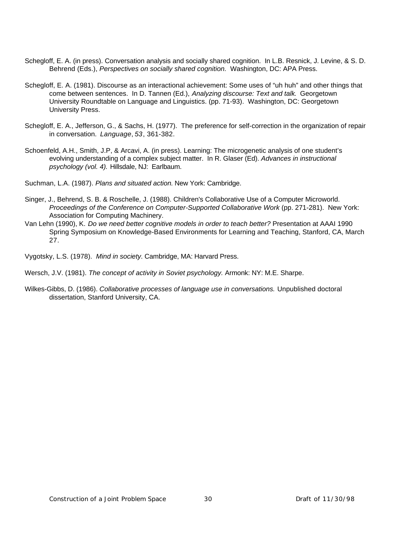- Schegloff, E. A. (in press). Conversation analysis and socially shared cognition. In L.B. Resnick, J. Levine, & S. D. Behrend (Eds.), *Perspectives on socially shared cognition.* Washington, DC: APA Press.
- Schegloff, E. A. (1981). Discourse as an interactional achievement: Some uses of "uh huh" and other things that come between sentences. In D. Tannen (Ed.), *Analyzing discourse: Text and talk*. Georgetown University Roundtable on Language and Linguistics. (pp. 71-93). Washington, DC: Georgetown University Press.
- Schegloff, E. A., Jefferson, G., & Sachs, H. (1977). The preference for self-correction in the organization of repair in conversation. *Language*, *53*, 361-382.
- Schoenfeld, A.H., Smith, J.P, & Arcavi, A. (in press). Learning: The microgenetic analysis of one student's evolving understanding of a complex subject matter. In R. Glaser (Ed). *Advances in instructional psychology (vol. 4).* Hillsdale, NJ: Earlbaum.
- Suchman, L.A. (1987). *Plans and situated action.* New York: Cambridge.
- Singer, J., Behrend, S. B. & Roschelle, J. (1988). Children's Collaborative Use of a Computer Microworld. *Proceedings of the Conference on Computer-Supported Collaborative Work* (pp. 271-281). New York: Association for Computing Machinery.
- Van Lehn (1990), K. *Do we need better cognitive models in order to teach better?* Presentation at AAAI 1990 Spring Symposium on Knowledge-Based Environments for Learning and Teaching, Stanford, CA, March 27.
- Vygotsky, L.S. (1978). *Mind in society*. Cambridge, MA: Harvard Press.
- Wersch, J.V. (1981). *The concept of activity in Soviet psychology.* Armonk: NY: M.E. Sharpe.
- Wilkes-Gibbs, D. (1986). *Collaborative processes of language use in conversations.* Unpublished doctoral dissertation, Stanford University, CA.